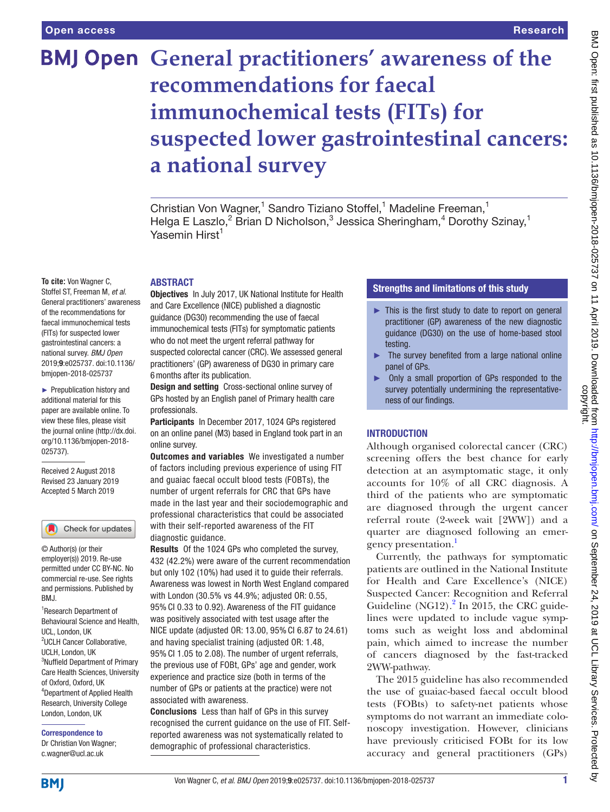# **BMJ Open General practitioners' awareness of the recommendations for faecal immunochemical tests (FITs) for suspected lower gastrointestinal cancers: a national survey**

Christian Von Wagner,<sup>1</sup> Sandro Tiziano Stoffel,<sup>1</sup> Madeline Freeman,<sup>1</sup> Helga E Laszlo,<sup>2</sup> Brian D Nicholson,<sup>3</sup> Jessica Sheringham,<sup>4</sup> Dorothy Szinay,<sup>1</sup> Yasemin Hirst<sup>1</sup>

## **ABSTRACT**

Objectives In July 2017, UK National Institute for Health and Care Excellence (NICE) published a diagnostic guidance (DG30) recommending the use of faecal immunochemical tests (FITs) for symptomatic patients who do not meet the urgent referral pathway for suspected colorectal cancer (CRC). We assessed general practitioners' (GP) awareness of DG30 in primary care 6months after its publication.

> Design and setting Cross-sectional online survey of GPs hosted by an English panel of Primary health care professionals.

Participants In December 2017, 1024 GPs registered on an online panel (M3) based in England took part in an online survey.

**Outcomes and variables** We investigated a number of factors including previous experience of using FIT and guaiac faecal occult blood tests (FOBTs), the number of urgent referrals for CRC that GPs have made in the last year and their sociodemographic and professional characteristics that could be associated with their self-reported awareness of the FIT diagnostic guidance.

Results Of the 1024 GPs who completed the survey, 432 (42.2%) were aware of the current recommendation but only 102 (10%) had used it to guide their referrals. Awareness was lowest in North West England compared with London (30.5% vs 44.9%; adjusted OR: 0.55, 95% CI 0.33 to 0.92). Awareness of the FIT guidance was positively associated with test usage after the NICE update (adjusted OR: 13.00, 95% CI 6.87 to 24.61) and having specialist training (adjusted OR: 1.48, 95% CI 1.05 to 2.08). The number of urgent referrals, the previous use of FOBt, GPs' age and gender, work experience and practice size (both in terms of the number of GPs or patients at the practice) were not associated with awareness.

Conclusions Less than half of GPs in this survey recognised the current guidance on the use of FIT. Selfreported awareness was not systematically related to demographic of professional characteristics.

# Strengths and limitations of this study

- ► This is the first study to date to report on general practitioner (GP) awareness of the new diagnostic guidance (DG30) on the use of home-based stool testing.
- ► The survey benefited from a large national online panel of GPs.
- Only a small proportion of GPs responded to the survey potentially undermining the representativeness of our findings.

## **INTRODUCTION**

Although organised colorectal cancer (CRC) screening offers the best chance for early detection at an asymptomatic stage, it only accounts for 10% of all CRC diagnosis. A third of the patients who are symptomatic are diagnosed through the urgent cancer referral route (2-week wait [2WW]) and a quarter are diagnosed following an emergency presentation.

Currently, the pathways for symptomatic patients are outlined in the National Institute for Health and Care Excellence's (NICE) Suspected Cancer: Recognition and Referral Guideline (NG1[2](#page-5-1)). $^2$  In 2015, the CRC guidelines were updated to include vague symptoms such as weight loss and abdominal pain, which aimed to increase the number of cancers diagnosed by the fast-tracked 2WW-pathway.

The 2015 guideline has also recommended the use of guaiac-based faecal occult blood tests (FOBts) to safety-net patients whose symptoms do not warrant an immediate colonoscopy investigation. However, clinicians have previously criticised FOBt for its low accuracy and general practitioners (GPs)

#### Stoffel ST, Freeman M, *et al*. General practitioners' awareness of the recommendations for faecal immunochemical tests (FITs) for suspected lower gastrointestinal cancers: a national survey. *BMJ Open* 2019;9:e025737. doi:10.1136/ bmjopen-2018-025737

**To cite:** Von Wagner C,

► Prepublication history and additional material for this paper are available online. To view these files, please visit the journal online [\(http://dx.doi.](http://dx.doi.org/10.1136/bmjopen-2018-025737) [org/10.1136/bmjopen-2018-](http://dx.doi.org/10.1136/bmjopen-2018-025737) [025737\)](http://dx.doi.org/10.1136/bmjopen-2018-025737).

Received 2 August 2018 Revised 23 January 2019 Accepted 5 March 2019



© Author(s) (or their employer(s)) 2019. Re-use permitted under CC BY-NC. No commercial re-use. See rights and permissions. Published by BMJ.

<sup>1</sup>Research Department of Behavioural Science and Health, UCL, London, UK 2 UCLH Cancer Collaborative, UCLH, London, UK 3 Nuffield Department of Primary Care Health Sciences, University of Oxford, Oxford, UK 4 Department of Applied Health Research, University College London, London, UK

Correspondence to

Dr Christian Von Wagner; c.wagner@ucl.ac.uk

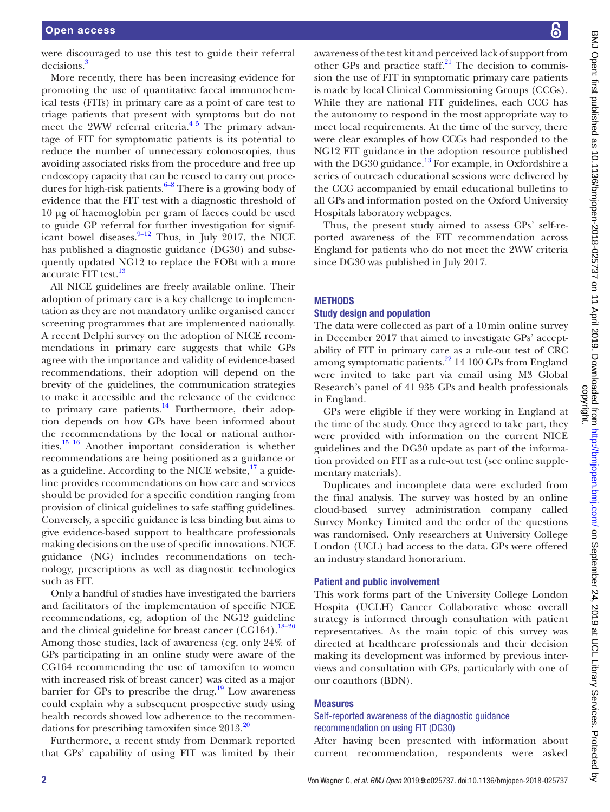were discouraged to use this test to guide their referral decisions.<sup>[3](#page-5-2)</sup>

More recently, there has been increasing evidence for promoting the use of quantitative faecal immunochemical tests (FITs) in primary care as a point of care test to triage patients that present with symptoms but do not meet the 2WW referral criteria. $4\frac{3}{2}$  The primary advantage of FIT for symptomatic patients is its potential to reduce the number of unnecessary colonoscopies, thus avoiding associated risks from the procedure and free up endoscopy capacity that can be reused to carry out procedures for high-risk patients. $6-8$  There is a growing body of evidence that the FIT test with a diagnostic threshold of 10 µg of haemoglobin per gram of faeces could be used to guide GP referral for further investigation for significant bowel diseases. $9-12$  Thus, in July 2017, the NICE has published a diagnostic guidance (DG30) and subsequently updated NG12 to replace the FOBt with a more accurate FIT test.<sup>[13](#page-5-6)</sup>

All NICE guidelines are freely available online. Their adoption of primary care is a key challenge to implementation as they are not mandatory unlike organised cancer screening programmes that are implemented nationally. A recent Delphi survey on the adoption of NICE recommendations in primary care suggests that while GPs agree with the importance and validity of evidence-based recommendations, their adoption will depend on the brevity of the guidelines, the communication strategies to make it accessible and the relevance of the evidence to primary care patients. $^{14}$  Furthermore, their adoption depends on how GPs have been informed about the recommendations by the local or national authorities[.15 16](#page-5-8) Another important consideration is whether recommendations are being positioned as a guidance or as a guideline. According to the NICE website, $^{17}$  a guideline provides recommendations on how care and services should be provided for a specific condition ranging from provision of clinical guidelines to safe staffing guidelines. Conversely, a specific guidance is less binding but aims to give evidence-based support to healthcare professionals making decisions on the use of specific innovations. NICE guidance (NG) includes recommendations on technology, prescriptions as well as diagnostic technologies such as FIT.

Only a handful of studies have investigated the barriers and facilitators of the implementation of specific NICE recommendations, eg, adoption of the NG12 guideline and the clinical guideline for breast cancer  $(CG164).$ <sup>18–20</sup> Among those studies, lack of awareness (eg, only 24% of GPs participating in an online study were aware of the CG164 recommending the use of tamoxifen to women with increased risk of breast cancer) was cited as a major barrier for GPs to prescribe the drug.<sup>19</sup> Low awareness could explain why a subsequent prospective study using health records showed low adherence to the recommendations for prescribing tamoxifen since 2013[.20](#page-5-12)

Furthermore, a recent study from Denmark reported that GPs' capability of using FIT was limited by their

awareness of the test kit and perceived lack of support from other GPs and practice staff. $2<sup>1</sup>$  The decision to commission the use of FIT in symptomatic primary care patients is made by local Clinical Commissioning Groups (CCGs). While they are national FIT guidelines, each CCG has the autonomy to respond in the most appropriate way to meet local requirements. At the time of the survey, there were clear examples of how CCGs had responded to the NG12 FIT guidance in the adoption resource published with the DG30 guidance.<sup>13</sup> For example, in Oxfordshire a series of outreach educational sessions were delivered by the CCG accompanied by email educational bulletins to all GPs and information posted on the Oxford University Hospitals laboratory webpages.

Thus, the present study aimed to assess GPs' self-reported awareness of the FIT recommendation across England for patients who do not meet the 2WW criteria since DG30 was published in July 2017.

## **METHODS**

#### Study design and population

The data were collected as part of a 10min online survey in December 2017 that aimed to investigate GPs' acceptability of FIT in primary care as a rule-out test of CRC among symptomatic patients.<sup>[22](#page-5-14)</sup> 14 100 GPs from England were invited to take part via email using M3 Global Research's panel of 41 935 GPs and health professionals in England.

GPs were eligible if they were working in England at the time of the study. Once they agreed to take part, they were provided with information on the current NICE guidelines and the DG30 update as part of the information provided on FIT as a rule-out test (see online [supple](https://dx.doi.org/10.1136/bmjopen-2018-025737)[mentary materials](https://dx.doi.org/10.1136/bmjopen-2018-025737)).

Duplicates and incomplete data were excluded from the final analysis. The survey was hosted by an online cloud-based survey administration company called Survey Monkey Limited and the order of the questions was randomised. Only researchers at University College London (UCL) had access to the data. GPs were offered an industry standard honorarium.

#### Patient and public involvement

This work forms part of the University College London Hospita (UCLH) Cancer Collaborative whose overall strategy is informed through consultation with patient representatives. As the main topic of this survey was directed at healthcare professionals and their decision making its development was informed by previous interviews and consultation with GPs, particularly with one of our coauthors (BDN).

#### Measures

## Self-reported awareness of the diagnostic guidance recommendation on using FIT (DG30)

After having been presented with information about current recommendation, respondents were asked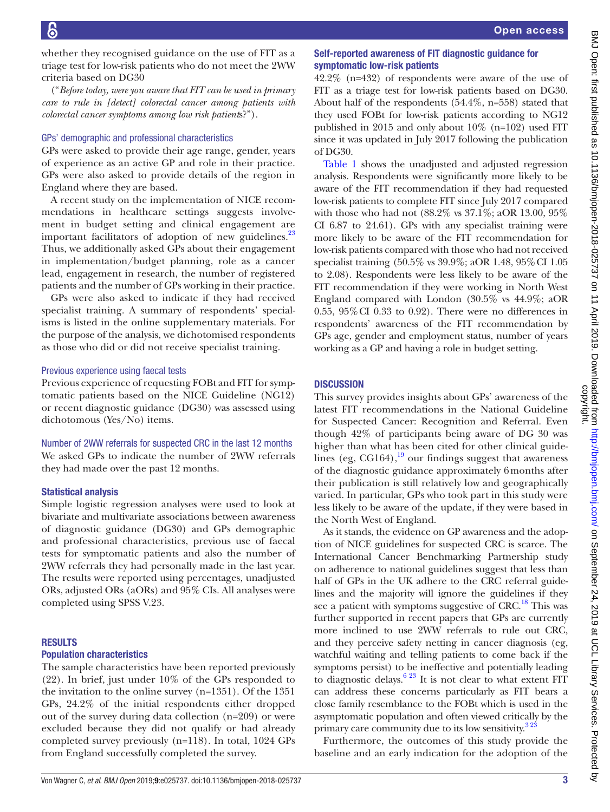whether they recognised guidance on the use of FIT as a triage test for low-risk patients who do not meet the 2WW criteria based on DG30

("*Before today, were you aware that FIT can be used in primary care to rule in [detect] colorectal cancer among patients with colorectal cancer symptoms among low risk patient*s?").

#### GPs' demographic and professional characteristics

GPs were asked to provide their age range, gender, years of experience as an active GP and role in their practice. GPs were also asked to provide details of the region in England where they are based.

A recent study on the implementation of NICE recommendations in healthcare settings suggests involvement in budget setting and clinical engagement are important facilitators of adoption of new guidelines.<sup>[23](#page-5-15)</sup> Thus, we additionally asked GPs about their engagement in implementation/budget planning, role as a cancer lead, engagement in research, the number of registered patients and the number of GPs working in their practice.

GPs were also asked to indicate if they had received specialist training. A summary of respondents' specialisms is listed in the online [supplementary materials](https://dx.doi.org/10.1136/bmjopen-2018-025737). For the purpose of the analysis, we dichotomised respondents as those who did or did not receive specialist training.

## Previous experience using faecal tests

Previous experience of requesting FOBt and FIT for symptomatic patients based on the NICE Guideline (NG12) or recent diagnostic guidance (DG30) was assessed using dichotomous (Yes/No) items.

Number of 2WW referrals for suspected CRC in the last 12 months We asked GPs to indicate the number of 2WW referrals they had made over the past 12 months.

## Statistical analysis

Simple logistic regression analyses were used to look at bivariate and multivariate associations between awareness of diagnostic guidance (DG30) and GPs demographic and professional characteristics, previous use of faecal tests for symptomatic patients and also the number of 2WW referrals they had personally made in the last year. The results were reported using percentages, unadjusted ORs, adjusted ORs (aORs) and 95% CIs. All analyses were completed using SPSS V.23.

## **RESULTS**

#### Population characteristics

The sample characteristics have been reported previously (22). In brief, just under 10% of the GPs responded to the invitation to the online survey (n=1351). Of the 1351 GPs, 24.2% of the initial respondents either dropped out of the survey during data collection (n=209) or were excluded because they did not qualify or had already completed survey previously (n=118). In total, 1024 GPs from England successfully completed the survey.

## Self-reported awareness of FIT diagnostic guidance for symptomatic low-risk patients

42.2% (n=432) of respondents were aware of the use of FIT as a triage test for low-risk patients based on DG30. About half of the respondents (54.4%, n=558) stated that they used FOBt for low-risk patients according to NG12 published in 2015 and only about 10% (n=102) used FIT since it was updated in July 2017 following the publication of DG30.

[Table](#page-3-0) 1 shows the unadjusted and adjusted regression analysis. Respondents were significantly more likely to be aware of the FIT recommendation if they had requested low-risk patients to complete FIT since July 2017 compared with those who had not (88.2% vs 37.1%; aOR 13.00, 95% CI 6.87 to 24.61). GPs with any specialist training were more likely to be aware of the FIT recommendation for low-risk patients compared with those who had not received specialist training (50.5% vs 39.9%; aOR 1.48, 95%CI 1.05 to 2.08). Respondents were less likely to be aware of the FIT recommendation if they were working in North West England compared with London (30.5% vs 44.9%; aOR 0.55,  $95\%$  CI 0.33 to 0.92). There were no differences in respondents' awareness of the FIT recommendation by GPs age, gender and employment status, number of years working as a GP and having a role in budget setting.

# **DISCUSSION**

This survey provides insights about GPs' awareness of the latest FIT recommendations in the National Guideline for Suspected Cancer: Recognition and Referral. Even though 42% of participants being aware of DG 30 was higher than what has been cited for other clinical guidelines (eg, CG164), $^{19}$  our findings suggest that awareness of the diagnostic guidance approximately 6months after their publication is still relatively low and geographically varied. In particular, GPs who took part in this study were less likely to be aware of the update, if they were based in the North West of England.

As it stands, the evidence on GP awareness and the adoption of NICE guidelines for suspected CRC is scarce. The International Cancer Benchmarking Partnership study on adherence to national guidelines suggest that less than half of GPs in the UK adhere to the CRC referral guidelines and the majority will ignore the guidelines if they see a patient with symptoms suggestive of CRC.<sup>18</sup> This was further supported in recent papers that GPs are currently more inclined to use 2WW referrals to rule out CRC, and they perceive safety netting in cancer diagnosis (eg, watchful waiting and telling patients to come back if the symptoms persist) to be ineffective and potentially leading to diagnostic delays.<sup>[6 23](#page-5-4)</sup> It is not clear to what extent FIT can address these concerns particularly as FIT bears a close family resemblance to the FOBt which is used in the asymptomatic population and often viewed critically by the primary care community due to its low sensitivity.<sup>323</sup>

Furthermore, the outcomes of this study provide the baseline and an early indication for the adoption of the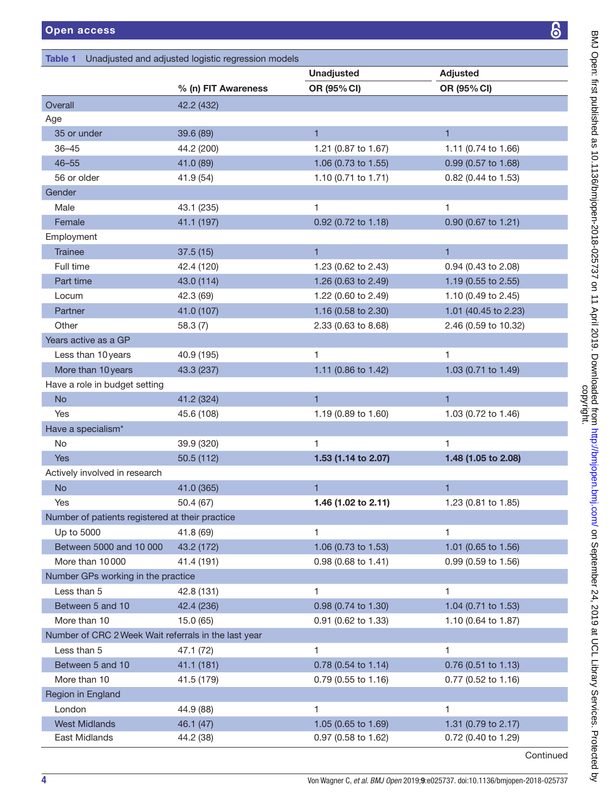# <span id="page-3-0"></span>Table 1 Unadjusted and adjusted logistic regression models

 $\overline{a}$ 

| j.                                                                                                                                                                                                                                           |
|----------------------------------------------------------------------------------------------------------------------------------------------------------------------------------------------------------------------------------------------|
|                                                                                                                                                                                                                                              |
|                                                                                                                                                                                                                                              |
|                                                                                                                                                                                                                                              |
| י הבלבד את ה                                                                                                                                                                                                                                 |
|                                                                                                                                                                                                                                              |
|                                                                                                                                                                                                                                              |
|                                                                                                                                                                                                                                              |
| 1 / 12572797272727272727272                                                                                                                                                                                                                  |
|                                                                                                                                                                                                                                              |
|                                                                                                                                                                                                                                              |
|                                                                                                                                                                                                                                              |
|                                                                                                                                                                                                                                              |
|                                                                                                                                                                                                                                              |
|                                                                                                                                                                                                                                              |
|                                                                                                                                                                                                                                              |
|                                                                                                                                                                                                                                              |
|                                                                                                                                                                                                                                              |
|                                                                                                                                                                                                                                              |
|                                                                                                                                                                                                                                              |
|                                                                                                                                                                                                                                              |
|                                                                                                                                                                                                                                              |
| Use Crocin interaction of the interaction of the condition of the second condition of the condition of the condition of the condition of the condition of the condition of the condition of the condition of the condition of<br>)<br>)      |
|                                                                                                                                                                                                                                              |
|                                                                                                                                                                                                                                              |
|                                                                                                                                                                                                                                              |
|                                                                                                                                                                                                                                              |
| י ייבודים בליטובים ביותר ביותר ביותר ביותר ביותר ביותר ביותר ביותר ביותר ביותר ביותר ביותר ביותר ביותר ביותר ב<br>ביותר ביותר ביותר ביותר ביותר ביותר ביותר ביותר ביותר ביותר ביותר ביותר ביותר ביותר ביותר ביותר ביותר ביותר ב<br>בנוס<br>ד |
|                                                                                                                                                                                                                                              |
|                                                                                                                                                                                                                                              |
|                                                                                                                                                                                                                                              |
|                                                                                                                                                                                                                                              |
|                                                                                                                                                                                                                                              |
|                                                                                                                                                                                                                                              |
|                                                                                                                                                                                                                                              |
|                                                                                                                                                                                                                                              |
|                                                                                                                                                                                                                                              |
|                                                                                                                                                                                                                                              |
|                                                                                                                                                                                                                                              |
|                                                                                                                                                                                                                                              |
|                                                                                                                                                                                                                                              |
|                                                                                                                                                                                                                                              |
|                                                                                                                                                                                                                                              |
|                                                                                                                                                                                                                                              |
|                                                                                                                                                                                                                                              |
|                                                                                                                                                                                                                                              |
|                                                                                                                                                                                                                                              |
|                                                                                                                                                                                                                                              |
|                                                                                                                                                                                                                                              |
|                                                                                                                                                                                                                                              |
|                                                                                                                                                                                                                                              |

|                                                      |                     | <b>Unadjusted</b>   | <b>Adjusted</b>      |  |
|------------------------------------------------------|---------------------|---------------------|----------------------|--|
|                                                      | % (n) FIT Awareness | OR (95% CI)         | OR (95% CI)          |  |
| Overall                                              | 42.2 (432)          |                     |                      |  |
| Age                                                  |                     |                     |                      |  |
| 35 or under                                          | 39.6 (89)           | $\mathbf{1}$        | $\mathbf{1}$         |  |
| $36 - 45$                                            | 44.2 (200)          | 1.21 (0.87 to 1.67) | 1.11 (0.74 to 1.66)  |  |
| $46 - 55$                                            | 41.0 (89)           | 1.06 (0.73 to 1.55) | 0.99 (0.57 to 1.68)  |  |
| 56 or older                                          | 41.9 (54)           | 1.10 (0.71 to 1.71) | 0.82 (0.44 to 1.53)  |  |
| Gender                                               |                     |                     |                      |  |
| Male                                                 | 43.1 (235)          | 1                   | 1                    |  |
| Female                                               | 41.1 (197)          | 0.92 (0.72 to 1.18) | 0.90 (0.67 to 1.21)  |  |
| Employment                                           |                     |                     |                      |  |
| <b>Trainee</b>                                       | 37.5(15)            | $\blacksquare$      | $\mathbf{1}$         |  |
| Full time                                            | 42.4 (120)          | 1.23 (0.62 to 2.43) | 0.94 (0.43 to 2.08)  |  |
| Part time                                            | 43.0 (114)          | 1.26 (0.63 to 2.49) | 1.19 (0.55 to 2.55)  |  |
| Locum                                                | 42.3 (69)           | 1.22 (0.60 to 2.49) | 1.10 (0.49 to 2.45)  |  |
| Partner                                              | 41.0 (107)          | 1.16 (0.58 to 2.30) | 1.01 (40.45 to 2.23) |  |
| Other                                                | 58.3 (7)            | 2.33 (0.63 to 8.68) | 2.46 (0.59 to 10.32) |  |
| Years active as a GP                                 |                     |                     |                      |  |
| Less than 10 years                                   | 40.9 (195)          | 1                   | 1.                   |  |
| More than 10 years                                   | 43.3 (237)          | 1.11 (0.86 to 1.42) | 1.03 (0.71 to 1.49)  |  |
| Have a role in budget setting                        |                     |                     |                      |  |
| <b>No</b>                                            | 41.2 (324)          | $\mathbf{1}$        | $\mathbf{1}$         |  |
| Yes                                                  | 45.6 (108)          | 1.19 (0.89 to 1.60) | 1.03 (0.72 to 1.46)  |  |
| Have a specialism*                                   |                     |                     |                      |  |
| No                                                   | 39.9 (320)          | 1                   | 1                    |  |
| <b>Yes</b>                                           | 50.5 (112)          | 1.53 (1.14 to 2.07) | 1.48 (1.05 to 2.08)  |  |
| Actively involved in research                        |                     |                     |                      |  |
| <b>No</b>                                            | 41.0 (365)          | 1                   | $\mathbf{1}$         |  |
| Yes                                                  | 50.4 (67)           | 1.46 (1.02 to 2.11) | 1.23 (0.81 to 1.85)  |  |
| Number of patients registered at their practice      |                     |                     |                      |  |
| Up to 5000                                           | 41.8 (69)           | 1                   | 1                    |  |
| Between 5000 and 10 000                              | 43.2 (172)          | 1.06 (0.73 to 1.53) | 1.01 (0.65 to 1.56)  |  |
| More than 10000                                      | 41.4 (191)          | 0.98 (0.68 to 1.41) | 0.99 (0.59 to 1.56)  |  |
| Number GPs working in the practice                   |                     |                     |                      |  |
| Less than 5                                          | 42.8 (131)          | 1                   | 1                    |  |
| Between 5 and 10                                     | 42.4 (236)          | 0.98 (0.74 to 1.30) | 1.04 (0.71 to 1.53)  |  |
| More than 10                                         | 15.0(65)            | 0.91 (0.62 to 1.33) | 1.10 (0.64 to 1.87)  |  |
| Number of CRC 2 Week Wait referrals in the last year |                     |                     |                      |  |
| Less than 5                                          | 47.1 (72)           | 1                   | 1                    |  |
| Between 5 and 10                                     | 41.1 (181)          | 0.78 (0.54 to 1.14) | 0.76 (0.51 to 1.13)  |  |
| More than 10                                         | 41.5 (179)          | 0.79 (0.55 to 1.16) | 0.77 (0.52 to 1.16)  |  |
| Region in England                                    |                     |                     |                      |  |
| London                                               | 44.9 (88)           | 1                   | 1                    |  |
| <b>West Midlands</b>                                 | 46.1 (47)           | 1.05 (0.65 to 1.69) | 1.31 (0.79 to 2.17)  |  |
| East Midlands                                        | 44.2 (38)           | 0.97 (0.58 to 1.62) | 0.72 (0.40 to 1.29)  |  |

Continued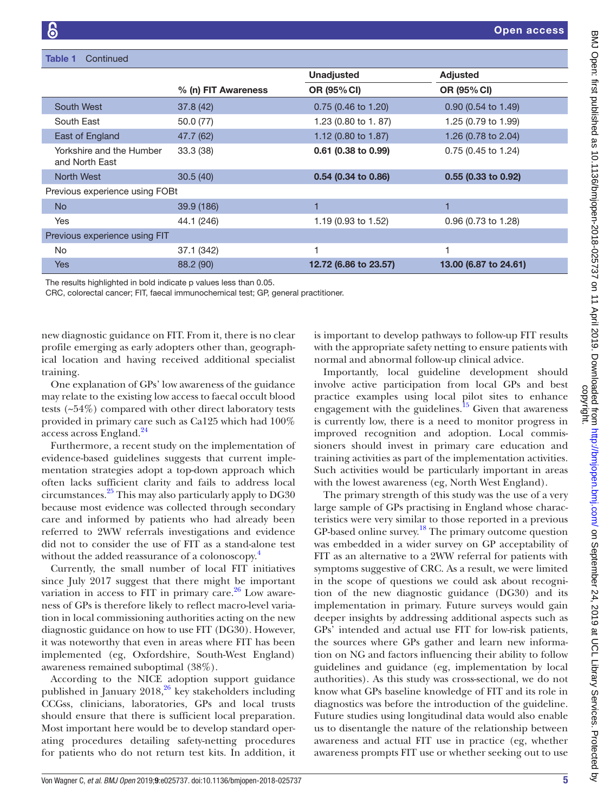| <b>Table 1</b><br>Continued                |                     |                               |                               |  |  |
|--------------------------------------------|---------------------|-------------------------------|-------------------------------|--|--|
|                                            |                     | <b>Unadjusted</b>             | <b>Adjusted</b>               |  |  |
|                                            | % (n) FIT Awareness | OR (95% CI)                   | OR (95% CI)                   |  |  |
| South West                                 | 37.8 (42)           | $0.75(0.46 \text{ to } 1.20)$ | $0.90(0.54 \text{ to } 1.49)$ |  |  |
| South East                                 | 50.0 (77)           | 1.23 (0.80 to 1.87)           | 1.25 (0.79 to 1.99)           |  |  |
| East of England                            | 47.7 (62)           | 1.12 (0.80 to 1.87)           | 1.26 (0.78 to 2.04)           |  |  |
| Yorkshire and the Humber<br>and North East | 33.3 (38)           | 0.61 (0.38 to 0.99)           | 0.75 (0.45 to 1.24)           |  |  |
| <b>North West</b>                          | 30.5(40)            | 0.54 (0.34 to 0.86)           | 0.55 (0.33 to 0.92)           |  |  |
| Previous experience using FOBt             |                     |                               |                               |  |  |
| <b>No</b>                                  | 39.9 (186)          |                               |                               |  |  |
| Yes                                        | 44.1 (246)          | 1.19 (0.93 to 1.52)           | 0.96 (0.73 to 1.28)           |  |  |
| Previous experience using FIT              |                     |                               |                               |  |  |
| <b>No</b>                                  | 37.1 (342)          |                               |                               |  |  |
| <b>Yes</b>                                 | 88.2 (90)           | 12.72 (6.86 to 23.57)         | 13.00 (6.87 to 24.61)         |  |  |
|                                            |                     |                               |                               |  |  |

The results highlighted in bold indicate p values less than 0.05.

CRC, colorectal cancer; FIT, faecal immunochemical test; GP, general practitioner.

new diagnostic guidance on FIT. From it, there is no clear profile emerging as early adopters other than, geographical location and having received additional specialist training.

One explanation of GPs' low awareness of the guidance may relate to the existing low access to faecal occult blood tests (~54%) compared with other direct laboratory tests provided in primary care such as Ca125 which had 100% access across England.<sup>24</sup>

Furthermore, a recent study on the implementation of evidence-based guidelines suggests that current implementation strategies adopt a top-down approach which often lacks sufficient clarity and fails to address local circumstances[.25](#page-5-17) This may also particularly apply to DG30 because most evidence was collected through secondary care and informed by patients who had already been referred to 2WW referrals investigations and evidence did not to consider the use of FIT as a stand-alone test without the added reassurance of a colonoscopy.<sup>4</sup>

Currently, the small number of local FIT initiatives since July 2017 suggest that there might be important variation in access to FIT in primary care. $26$  Low awareness of GPs is therefore likely to reflect macro-level variation in local commissioning authorities acting on the new diagnostic guidance on how to use FIT (DG30). However, it was noteworthy that even in areas where FIT has been implemented (eg, Oxfordshire, South-West England) awareness remained suboptimal (38%).

According to the NICE adoption support guidance published in January  $2018$ ,  $^{26}$  key stakeholders including CCGss, clinicians, laboratories, GPs and local trusts should ensure that there is sufficient local preparation. Most important here would be to develop standard operating procedures detailing safety-netting procedures for patients who do not return test kits. In addition, it is important to develop pathways to follow-up FIT results with the appropriate safety netting to ensure patients with normal and abnormal follow-up clinical advice.

Importantly, local guideline development should involve active participation from local GPs and best practice examples using local pilot sites to enhance engagement with the guidelines. $15$  Given that awareness is currently low, there is a need to monitor progress in improved recognition and adoption. Local commissioners should invest in primary care education and training activities as part of the implementation activities. Such activities would be particularly important in areas with the lowest awareness (eg, North West England).

The primary strength of this study was the use of a very large sample of GPs practising in England whose characteristics were very similar to those reported in a previous GP-based online survey.<sup>[18](#page-5-10)</sup> The primary outcome question was embedded in a wider survey on GP acceptability of FIT as an alternative to a 2WW referral for patients with symptoms suggestive of CRC. As a result, we were limited in the scope of questions we could ask about recognition of the new diagnostic guidance (DG30) and its implementation in primary. Future surveys would gain deeper insights by addressing additional aspects such as GPs' intended and actual use FIT for low-risk patients, the sources where GPs gather and learn new information on NG and factors influencing their ability to follow guidelines and guidance (eg, implementation by local authorities). As this study was cross-sectional, we do not know what GPs baseline knowledge of FIT and its role in diagnostics was before the introduction of the guideline. Future studies using longitudinal data would also enable us to disentangle the nature of the relationship between awareness and actual FIT use in practice (eg, whether awareness prompts FIT use or whether seeking out to use